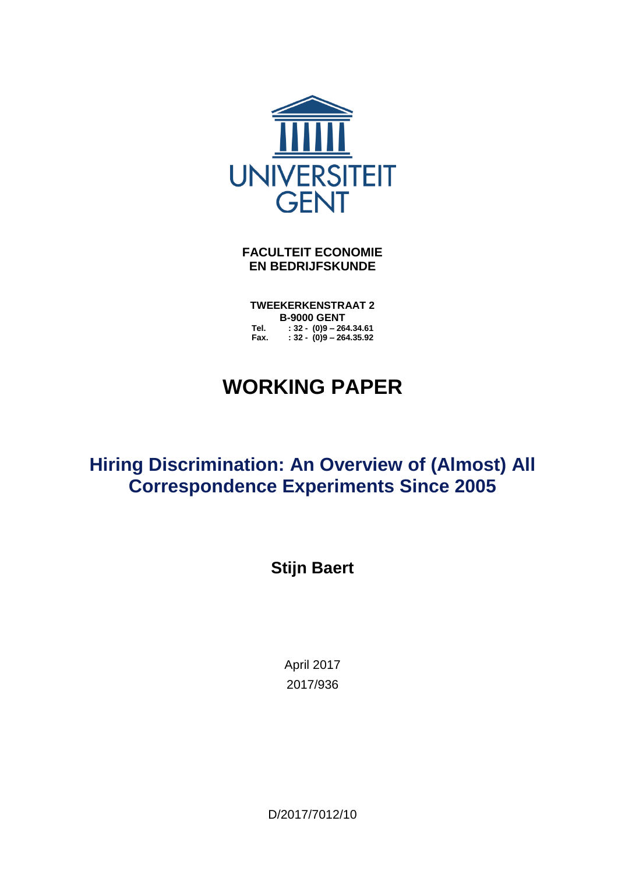

**FACULTEIT ECONOMIE EN BEDRIJFSKUNDE**

**TWEEKERKENSTRAAT 2 B-9000 GENT Tel. : 32 - (0)9 – 264.34.61 Fax. : 32 - (0)9 – 264.35.92**

# **WORKING PAPER**

## **Hiring Discrimination: An Overview of (Almost) All Correspondence Experiments Since 2005**

**Stijn Baert**

April 2017 2017/936

D/2017/7012/10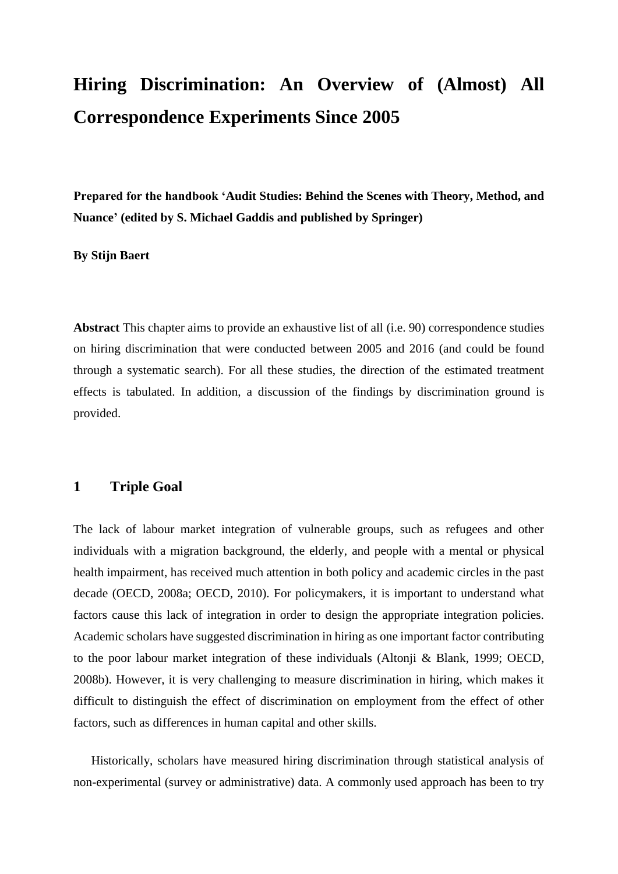## **Hiring Discrimination: An Overview of (Almost) All Correspondence Experiments Since 2005**

**Prepared for the handbook 'Audit Studies: Behind the Scenes with Theory, Method, and Nuance' (edited by S. Michael Gaddis and published by Springer)**

### **By Stijn Baert**

**Abstract** This chapter aims to provide an exhaustive list of all (i.e. 90) correspondence studies on hiring discrimination that were conducted between 2005 and 2016 (and could be found through a systematic search). For all these studies, the direction of the estimated treatment effects is tabulated. In addition, a discussion of the findings by discrimination ground is provided.

## **1 Triple Goal**

The lack of labour market integration of vulnerable groups, such as refugees and other individuals with a migration background, the elderly, and people with a mental or physical health impairment, has received much attention in both policy and academic circles in the past decade (OECD, 2008a; OECD, 2010). For policymakers, it is important to understand what factors cause this lack of integration in order to design the appropriate integration policies. Academic scholars have suggested discrimination in hiring as one important factor contributing to the poor labour market integration of these individuals (Altonji & Blank, 1999; OECD, 2008b). However, it is very challenging to measure discrimination in hiring, which makes it difficult to distinguish the effect of discrimination on employment from the effect of other factors, such as differences in human capital and other skills.

Historically, scholars have measured hiring discrimination through statistical analysis of non-experimental (survey or administrative) data. A commonly used approach has been to try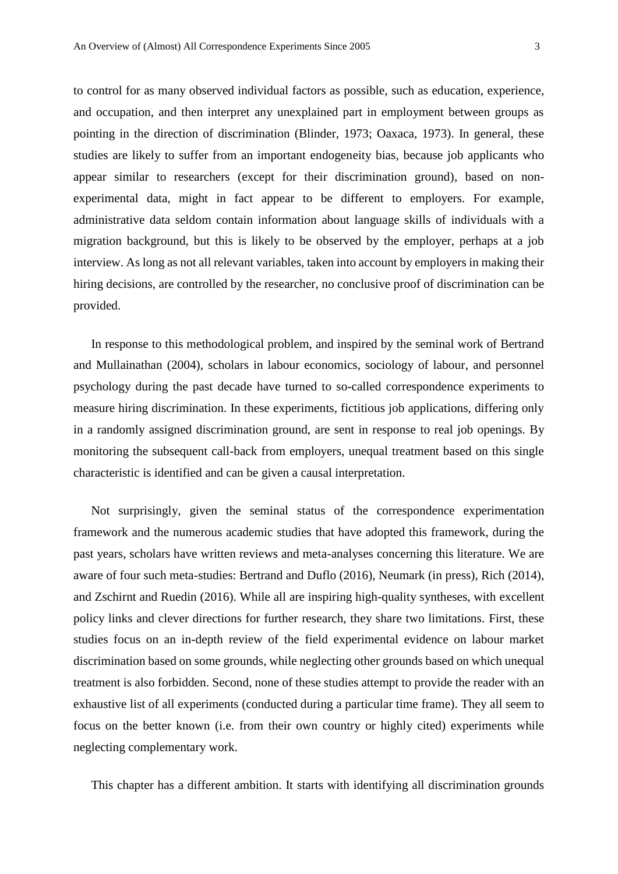to control for as many observed individual factors as possible, such as education, experience, and occupation, and then interpret any unexplained part in employment between groups as pointing in the direction of discrimination (Blinder, 1973; Oaxaca, 1973). In general, these studies are likely to suffer from an important endogeneity bias, because job applicants who appear similar to researchers (except for their discrimination ground), based on nonexperimental data, might in fact appear to be different to employers. For example, administrative data seldom contain information about language skills of individuals with a migration background, but this is likely to be observed by the employer, perhaps at a job interview. As long as not all relevant variables, taken into account by employers in making their hiring decisions, are controlled by the researcher, no conclusive proof of discrimination can be provided.

In response to this methodological problem, and inspired by the seminal work of Bertrand and Mullainathan (2004), scholars in labour economics, sociology of labour, and personnel psychology during the past decade have turned to so-called correspondence experiments to measure hiring discrimination. In these experiments, fictitious job applications, differing only in a randomly assigned discrimination ground, are sent in response to real job openings. By monitoring the subsequent call-back from employers, unequal treatment based on this single characteristic is identified and can be given a causal interpretation.

Not surprisingly, given the seminal status of the correspondence experimentation framework and the numerous academic studies that have adopted this framework, during the past years, scholars have written reviews and meta-analyses concerning this literature. We are aware of four such meta-studies: Bertrand and Duflo (2016), Neumark (in press), Rich (2014), and Zschirnt and Ruedin (2016). While all are inspiring high-quality syntheses, with excellent policy links and clever directions for further research, they share two limitations. First, these studies focus on an in-depth review of the field experimental evidence on labour market discrimination based on some grounds, while neglecting other grounds based on which unequal treatment is also forbidden. Second, none of these studies attempt to provide the reader with an exhaustive list of all experiments (conducted during a particular time frame). They all seem to focus on the better known (i.e. from their own country or highly cited) experiments while neglecting complementary work.

This chapter has a different ambition. It starts with identifying all discrimination grounds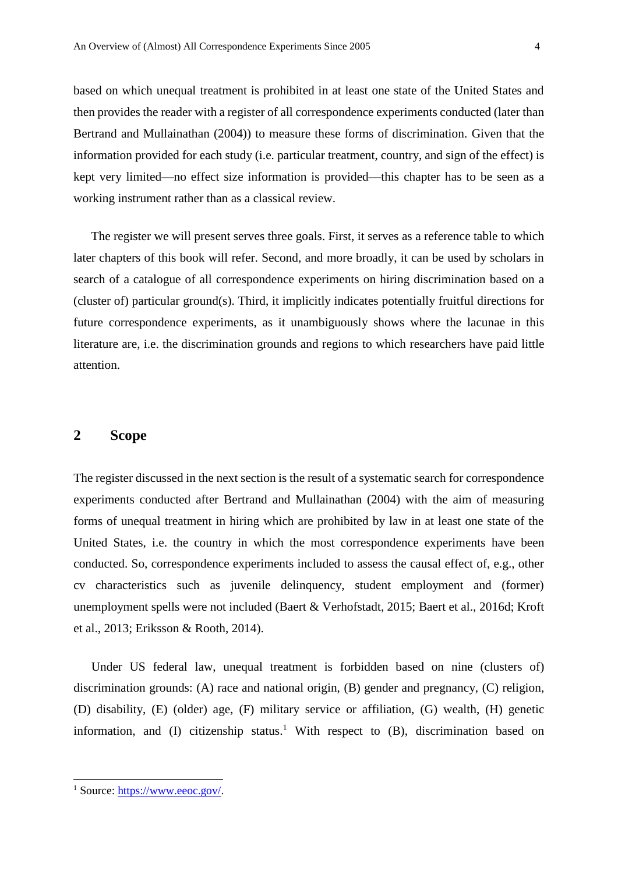based on which unequal treatment is prohibited in at least one state of the United States and then provides the reader with a register of all correspondence experiments conducted (later than Bertrand and Mullainathan (2004)) to measure these forms of discrimination. Given that the information provided for each study (i.e. particular treatment, country, and sign of the effect) is kept very limited—no effect size information is provided—this chapter has to be seen as a working instrument rather than as a classical review.

The register we will present serves three goals. First, it serves as a reference table to which later chapters of this book will refer. Second, and more broadly, it can be used by scholars in search of a catalogue of all correspondence experiments on hiring discrimination based on a (cluster of) particular ground(s). Third, it implicitly indicates potentially fruitful directions for future correspondence experiments, as it unambiguously shows where the lacunae in this literature are, i.e. the discrimination grounds and regions to which researchers have paid little attention.

## **2 Scope**

The register discussed in the next section is the result of a systematic search for correspondence experiments conducted after Bertrand and Mullainathan (2004) with the aim of measuring forms of unequal treatment in hiring which are prohibited by law in at least one state of the United States, i.e. the country in which the most correspondence experiments have been conducted. So, correspondence experiments included to assess the causal effect of, e.g., other cv characteristics such as juvenile delinquency, student employment and (former) unemployment spells were not included (Baert & Verhofstadt, 2015; Baert et al., 2016d; Kroft et al., 2013; Eriksson & Rooth, 2014).

Under US federal law, unequal treatment is forbidden based on nine (clusters of) discrimination grounds: (A) race and national origin, (B) gender and pregnancy, (C) religion, (D) disability, (E) (older) age, (F) military service or affiliation, (G) wealth, (H) genetic information, and (I) citizenship status.<sup>1</sup> With respect to (B), discrimination based on

1

<sup>1</sup> Source: [https://www.eeoc.gov/.](https://www.eeoc.gov/)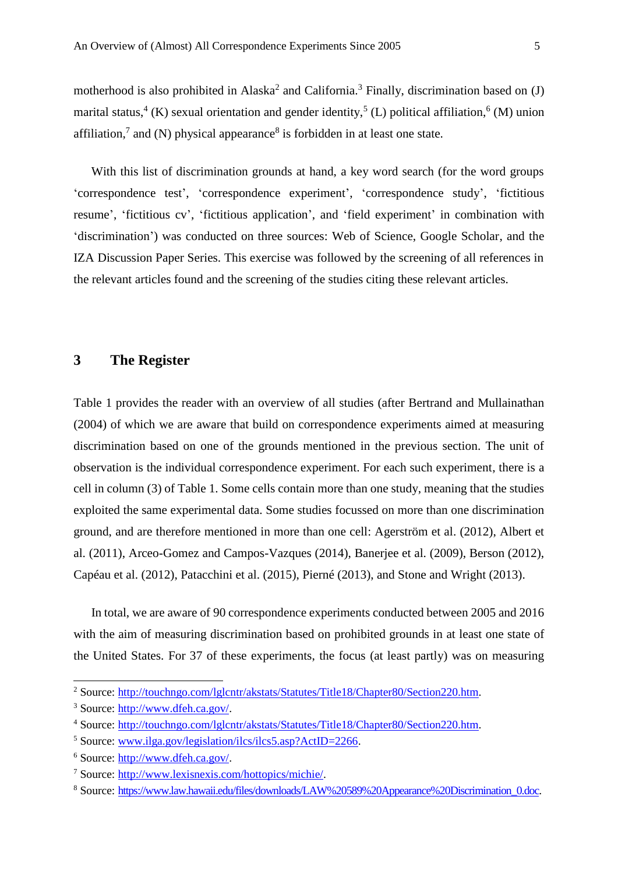motherhood is also prohibited in Alaska<sup>2</sup> and California.<sup>3</sup> Finally, discrimination based on  $(J)$ marital status,<sup>4</sup> (K) sexual orientation and gender identity,<sup>5</sup> (L) political affiliation,<sup>6</sup> (M) union affiliation,<sup>7</sup> and (N) physical appearance<sup>8</sup> is forbidden in at least one state.

With this list of discrimination grounds at hand, a key word search (for the word groups 'correspondence test', 'correspondence experiment', 'correspondence study', 'fictitious resume', 'fictitious cv', 'fictitious application', and 'field experiment' in combination with 'discrimination') was conducted on three sources: Web of Science, Google Scholar, and the IZA Discussion Paper Series. This exercise was followed by the screening of all references in the relevant articles found and the screening of the studies citing these relevant articles.

## **3 The Register**

Table 1 provides the reader with an overview of all studies (after Bertrand and Mullainathan (2004) of which we are aware that build on correspondence experiments aimed at measuring discrimination based on one of the grounds mentioned in the previous section. The unit of observation is the individual correspondence experiment. For each such experiment, there is a cell in column (3) of Table 1. Some cells contain more than one study, meaning that the studies exploited the same experimental data. Some studies focussed on more than one discrimination ground, and are therefore mentioned in more than one cell: Agerström et al. (2012), Albert et al. (2011), Arceo-Gomez and Campos-Vazques (2014), Banerjee et al. (2009), Berson (2012), Capéau et al. (2012), Patacchini et al. (2015), Pierné (2013), and Stone and Wright (2013).

In total, we are aware of 90 correspondence experiments conducted between 2005 and 2016 with the aim of measuring discrimination based on prohibited grounds in at least one state of the United States. For 37 of these experiments, the focus (at least partly) was on measuring

 $\overline{\phantom{a}}$ 

<sup>&</sup>lt;sup>2</sup> Source: [http://touchngo.com/lglcntr/akstats/Statutes/Title18/Chapter80/Section220.htm.](http://touchngo.com/lglcntr/akstats/Statutes/Title18/Chapter80/Section220.htm)

<sup>3</sup> Source: [http://www.dfeh.ca.gov/.](http://www.dfeh.ca.gov/)

<sup>4</sup> Source: [http://touchngo.com/lglcntr/akstats/Statutes/Title18/Chapter80/Section220.htm.](http://touchngo.com/lglcntr/akstats/Statutes/Title18/Chapter80/Section220.htm)

<sup>&</sup>lt;sup>5</sup> Source: [www.ilga.gov/legislation/ilcs/ilcs5.asp?ActID=2266.](http://www.ilga.gov/legislation/ilcs/ilcs5.asp?ActID=2266)

<sup>6</sup> Source: [http://www.dfeh.ca.gov/.](http://www.dfeh.ca.gov/)

<sup>7</sup> Source: [http://www.lexisnexis.com/hottopics/michie/.](http://www.lexisnexis.com/hottopics/michie/)

<sup>&</sup>lt;sup>8</sup> Source: [https://www.law.hawaii.edu/files/downloads/LAW%20589%20Appearance%20Discrimination\\_0.doc.](https://www.law.hawaii.edu/files/downloads/LAW%20589%20Appearance%20Discrimination_0.doc)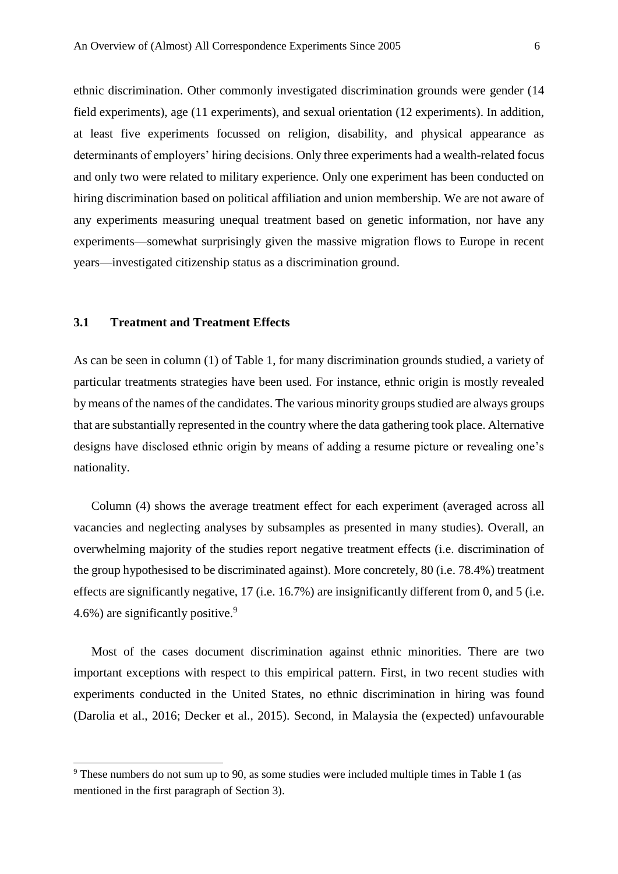ethnic discrimination. Other commonly investigated discrimination grounds were gender (14 field experiments), age (11 experiments), and sexual orientation (12 experiments). In addition, at least five experiments focussed on religion, disability, and physical appearance as determinants of employers' hiring decisions. Only three experiments had a wealth-related focus and only two were related to military experience. Only one experiment has been conducted on hiring discrimination based on political affiliation and union membership. We are not aware of any experiments measuring unequal treatment based on genetic information, nor have any experiments—somewhat surprisingly given the massive migration flows to Europe in recent years—investigated citizenship status as a discrimination ground.

#### **3.1 Treatment and Treatment Effects**

 $\overline{\phantom{a}}$ 

As can be seen in column (1) of Table 1, for many discrimination grounds studied, a variety of particular treatments strategies have been used. For instance, ethnic origin is mostly revealed by means of the names of the candidates. The various minority groups studied are always groups that are substantially represented in the country where the data gathering took place. Alternative designs have disclosed ethnic origin by means of adding a resume picture or revealing one's nationality.

Column (4) shows the average treatment effect for each experiment (averaged across all vacancies and neglecting analyses by subsamples as presented in many studies). Overall, an overwhelming majority of the studies report negative treatment effects (i.e. discrimination of the group hypothesised to be discriminated against). More concretely, 80 (i.e. 78.4%) treatment effects are significantly negative, 17 (i.e. 16.7%) are insignificantly different from 0, and 5 (i.e. 4.6%) are significantly positive.<sup>9</sup>

Most of the cases document discrimination against ethnic minorities. There are two important exceptions with respect to this empirical pattern. First, in two recent studies with experiments conducted in the United States, no ethnic discrimination in hiring was found (Darolia et al., 2016; Decker et al., 2015). Second, in Malaysia the (expected) unfavourable

<sup>9</sup> These numbers do not sum up to 90, as some studies were included multiple times in Table 1 (as mentioned in the first paragraph of Section 3).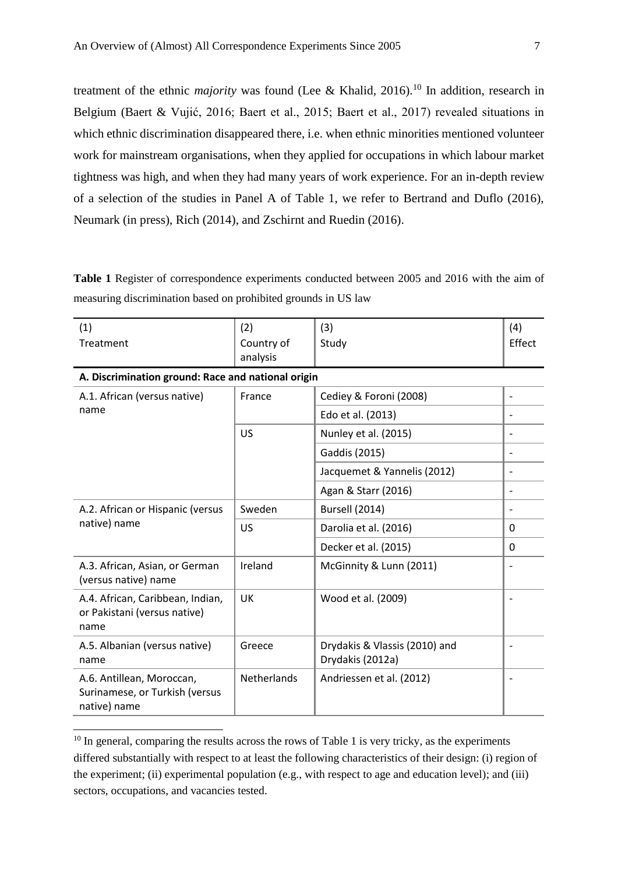treatment of the ethnic *majority* was found (Lee & Khalid, 2016).<sup>10</sup> In addition, research in Belgium (Baert & Vujić, 2016; Baert et al., 2015; Baert et al., 2017) revealed situations in which ethnic discrimination disappeared there, i.e. when ethnic minorities mentioned volunteer work for mainstream organisations, when they applied for occupations in which labour market tightness was high, and when they had many years of work experience. For an in-depth review of a selection of the studies in Panel A of Table 1, we refer to Bertrand and Duflo (2016), Neumark (in press), Rich (2014), and Zschirnt and Ruedin (2016).

**Table 1** Register of correspondence experiments conducted between 2005 and 2016 with the aim of measuring discrimination based on prohibited grounds in US law

| (1)                                                                         | (2)                    | (3)                                               | (4)                      |
|-----------------------------------------------------------------------------|------------------------|---------------------------------------------------|--------------------------|
| Treatment                                                                   | Country of<br>analysis | Study                                             | Effect                   |
| A. Discrimination ground: Race and national origin                          |                        |                                                   |                          |
| A.1. African (versus native)<br>name                                        | France                 | Cediey & Foroni (2008)                            | $\overline{\phantom{a}}$ |
|                                                                             |                        | Edo et al. (2013)                                 | $\overline{\phantom{a}}$ |
|                                                                             | US                     | Nunley et al. (2015)                              |                          |
|                                                                             |                        | Gaddis (2015)                                     | $\overline{\phantom{a}}$ |
|                                                                             |                        | Jacquemet & Yannelis (2012)                       | $\qquad \qquad -$        |
|                                                                             |                        | Agan & Starr (2016)                               | $\overline{\phantom{a}}$ |
| A.2. African or Hispanic (versus<br>native) name                            | Sweden                 | Bursell (2014)                                    | $\overline{\phantom{0}}$ |
|                                                                             | <b>US</b>              | Darolia et al. (2016)                             | 0                        |
|                                                                             |                        | Decker et al. (2015)                              | $\Omega$                 |
| A.3. African, Asian, or German<br>(versus native) name                      | Ireland                | McGinnity & Lunn (2011)                           |                          |
| A.4. African, Caribbean, Indian,<br>or Pakistani (versus native)<br>name    | UK                     | Wood et al. (2009)                                |                          |
| A.5. Albanian (versus native)<br>name                                       | Greece                 | Drydakis & Vlassis (2010) and<br>Drydakis (2012a) |                          |
| A.6. Antillean, Moroccan,<br>Surinamese, or Turkish (versus<br>native) name | <b>Netherlands</b>     | Andriessen et al. (2012)                          |                          |

 $10$  In general, comparing the results across the rows of Table 1 is very tricky, as the experiments differed substantially with respect to at least the following characteristics of their design: (i) region of the experiment; (ii) experimental population (e.g., with respect to age and education level); and (iii) sectors, occupations, and vacancies tested.

l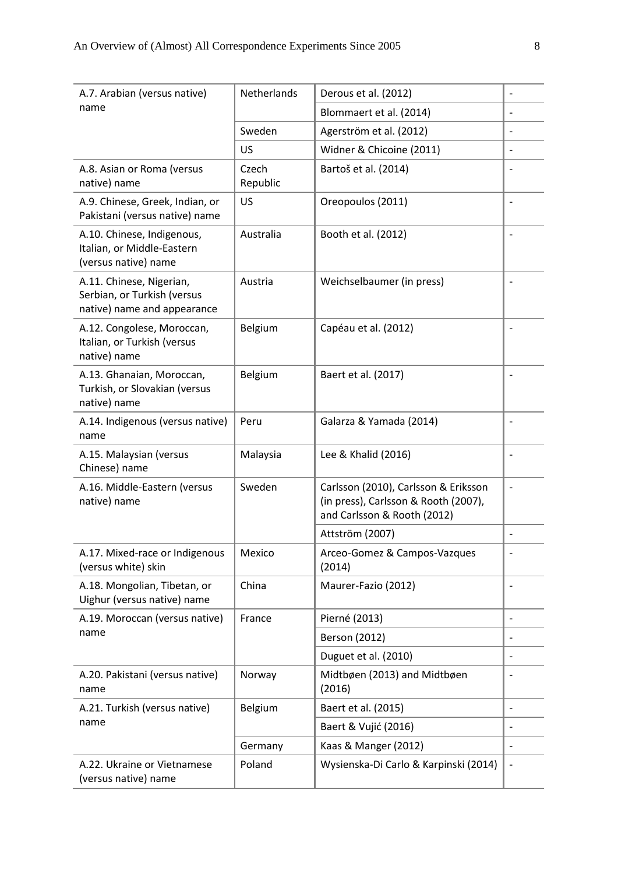| A.7. Arabian (versus native)                                                           | <b>Netherlands</b> | Derous et al. (2012)                                                                                        |                          |
|----------------------------------------------------------------------------------------|--------------------|-------------------------------------------------------------------------------------------------------------|--------------------------|
| name                                                                                   |                    | Blommaert et al. (2014)                                                                                     |                          |
|                                                                                        | Sweden             | Agerström et al. (2012)                                                                                     | $\overline{a}$           |
|                                                                                        | US                 | Widner & Chicoine (2011)                                                                                    |                          |
| A.8. Asian or Roma (versus<br>native) name                                             | Czech<br>Republic  | Bartoš et al. (2014)                                                                                        |                          |
| A.9. Chinese, Greek, Indian, or<br>Pakistani (versus native) name                      | US                 | Oreopoulos (2011)                                                                                           |                          |
| A.10. Chinese, Indigenous,<br>Italian, or Middle-Eastern<br>(versus native) name       | Australia          | Booth et al. (2012)                                                                                         |                          |
| A.11. Chinese, Nigerian,<br>Serbian, or Turkish (versus<br>native) name and appearance | Austria            | Weichselbaumer (in press)                                                                                   |                          |
| A.12. Congolese, Moroccan,<br>Italian, or Turkish (versus<br>native) name              | Belgium            | Capéau et al. (2012)                                                                                        | $\overline{\phantom{0}}$ |
| A.13. Ghanaian, Moroccan,<br>Turkish, or Slovakian (versus<br>native) name             | Belgium            | Baert et al. (2017)                                                                                         |                          |
| A.14. Indigenous (versus native)<br>name                                               | Peru               | Galarza & Yamada (2014)                                                                                     | $\overline{a}$           |
| A.15. Malaysian (versus<br>Chinese) name                                               | Malaysia           | Lee & Khalid (2016)                                                                                         | $\overline{a}$           |
| A.16. Middle-Eastern (versus<br>native) name                                           | Sweden             | Carlsson (2010), Carlsson & Eriksson<br>(in press), Carlsson & Rooth (2007),<br>and Carlsson & Rooth (2012) | $\overline{\phantom{0}}$ |
|                                                                                        |                    | Attström (2007)                                                                                             | -                        |
| A.17. Mixed-race or Indigenous<br>(versus white) skin                                  | Mexico             | Arceo-Gomez & Campos-Vazques<br>(2014)                                                                      |                          |
| A.18. Mongolian, Tibetan, or<br>Uighur (versus native) name                            | China              | Maurer-Fazio (2012)                                                                                         |                          |
| A.19. Moroccan (versus native)                                                         | France             | Pierné (2013)                                                                                               | $\overline{\phantom{a}}$ |
| name                                                                                   |                    | <b>Berson (2012)</b>                                                                                        |                          |
|                                                                                        |                    | Duguet et al. (2010)                                                                                        |                          |
| A.20. Pakistani (versus native)<br>name                                                | Norway             | Midtbøen (2013) and Midtbøen<br>(2016)                                                                      |                          |
| A.21. Turkish (versus native)                                                          | Belgium            | Baert et al. (2015)                                                                                         | $\overline{\phantom{0}}$ |
| name                                                                                   |                    | Baert & Vujić (2016)                                                                                        |                          |
|                                                                                        | Germany            | Kaas & Manger (2012)                                                                                        | $\overline{\phantom{a}}$ |
| A.22. Ukraine or Vietnamese<br>(versus native) name                                    | Poland             | Wysienska-Di Carlo & Karpinski (2014)                                                                       | $\overline{\phantom{a}}$ |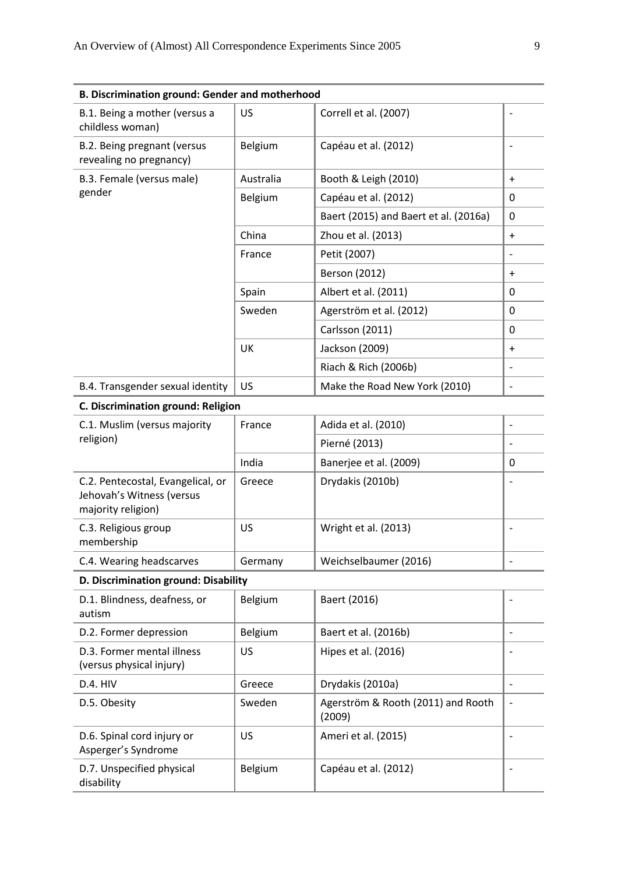| <b>B. Discrimination ground: Gender and motherhood</b>                               |           |                                              |                          |
|--------------------------------------------------------------------------------------|-----------|----------------------------------------------|--------------------------|
| B.1. Being a mother (versus a<br>childless woman)                                    | US        | Correll et al. (2007)                        |                          |
| B.2. Being pregnant (versus<br>revealing no pregnancy)                               | Belgium   | Capéau et al. (2012)                         | $\overline{\phantom{a}}$ |
| B.3. Female (versus male)                                                            | Australia | Booth & Leigh (2010)                         | $\ddot{}$                |
| gender                                                                               | Belgium   | Capéau et al. (2012)                         | 0                        |
|                                                                                      |           | Baert (2015) and Baert et al. (2016a)        | 0                        |
|                                                                                      | China     | Zhou et al. (2013)                           | $\ddot{}$                |
|                                                                                      | France    | Petit (2007)                                 | $\overline{\phantom{a}}$ |
|                                                                                      |           | <b>Berson (2012)</b>                         | $\ddot{}$                |
|                                                                                      | Spain     | Albert et al. (2011)                         | 0                        |
|                                                                                      | Sweden    | Agerström et al. (2012)                      | 0                        |
|                                                                                      |           | Carlsson (2011)                              | $\Omega$                 |
|                                                                                      | UK        | Jackson (2009)                               | $\ddot{}$                |
|                                                                                      |           | Riach & Rich (2006b)                         | $\overline{\phantom{a}}$ |
| B.4. Transgender sexual identity                                                     | US        | Make the Road New York (2010)                | $\overline{\phantom{a}}$ |
| C. Discrimination ground: Religion                                                   |           |                                              |                          |
| C.1. Muslim (versus majority                                                         | France    | Adida et al. (2010)                          | $\overline{\phantom{a}}$ |
| religion)                                                                            |           | Pierné (2013)                                |                          |
|                                                                                      | India     | Banerjee et al. (2009)                       | 0                        |
| C.2. Pentecostal, Evangelical, or<br>Jehovah's Witness (versus<br>majority religion) | Greece    | Drydakis (2010b)                             |                          |
| C.3. Religious group<br>membership                                                   | US        | Wright et al. (2013)                         | $\overline{\phantom{a}}$ |
| C.4. Wearing headscarves                                                             | Germany   | Weichselbaumer (2016)                        |                          |
| D. Discrimination ground: Disability                                                 |           |                                              |                          |
| D.1. Blindness, deafness, or<br>autism                                               | Belgium   | Baert (2016)                                 |                          |
| D.2. Former depression                                                               | Belgium   | Baert et al. (2016b)                         | $\overline{\phantom{a}}$ |
| D.3. Former mental illness<br>(versus physical injury)                               | US        | Hipes et al. (2016)                          |                          |
| <b>D.4. HIV</b>                                                                      | Greece    | Drydakis (2010a)                             | $\overline{\phantom{a}}$ |
| D.5. Obesity                                                                         | Sweden    | Agerström & Rooth (2011) and Rooth<br>(2009) | $\overline{\phantom{a}}$ |
| D.6. Spinal cord injury or<br>Asperger's Syndrome                                    | US        | Ameri et al. (2015)                          | $\overline{\phantom{a}}$ |
| D.7. Unspecified physical                                                            | Belgium   | Capéau et al. (2012)                         | $\overline{\phantom{a}}$ |

disability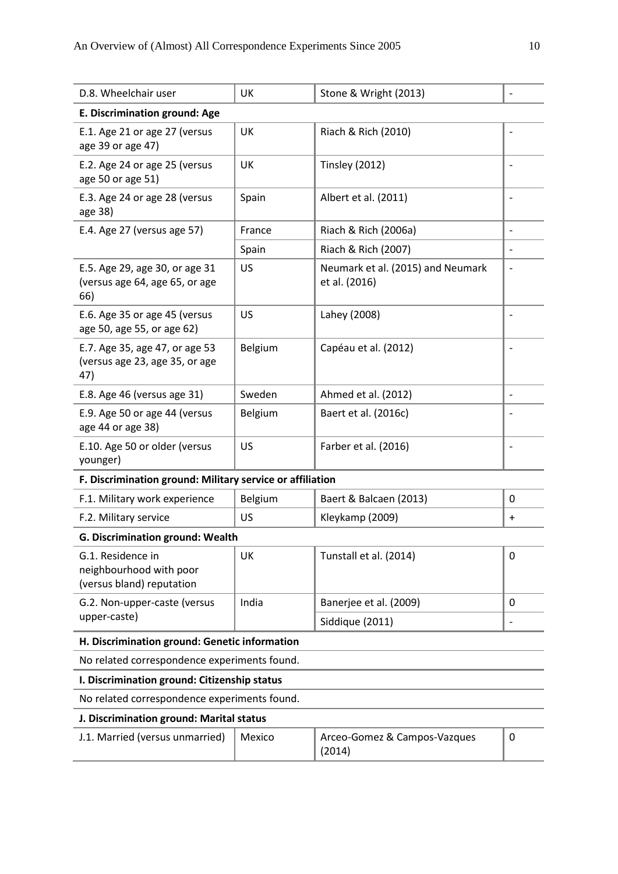| D.8. Wheelchair user                                                      | UK      | Stone & Wright (2013)                              |                          |
|---------------------------------------------------------------------------|---------|----------------------------------------------------|--------------------------|
| E. Discrimination ground: Age                                             |         |                                                    |                          |
| E.1. Age 21 or age 27 (versus<br>age 39 or age 47)                        | UK      | Riach & Rich (2010)                                |                          |
| E.2. Age 24 or age 25 (versus<br>age 50 or age 51)                        | UK      | <b>Tinsley (2012)</b>                              |                          |
| E.3. Age 24 or age 28 (versus<br>age 38)                                  | Spain   | Albert et al. (2011)                               |                          |
| E.4. Age 27 (versus age 57)                                               | France  | Riach & Rich (2006a)                               |                          |
|                                                                           | Spain   | Riach & Rich (2007)                                |                          |
| E.5. Age 29, age 30, or age 31<br>(versus age 64, age 65, or age<br>66)   | US      | Neumark et al. (2015) and Neumark<br>et al. (2016) |                          |
| E.6. Age 35 or age 45 (versus<br>age 50, age 55, or age 62)               | US      | Lahey (2008)                                       |                          |
| E.7. Age 35, age 47, or age 53<br>(versus age 23, age 35, or age<br>47)   | Belgium | Capéau et al. (2012)                               |                          |
| E.8. Age 46 (versus age 31)                                               | Sweden  | Ahmed et al. (2012)                                | $\overline{\phantom{a}}$ |
| E.9. Age 50 or age 44 (versus<br>age 44 or age 38)                        | Belgium | Baert et al. (2016c)                               |                          |
| E.10. Age 50 or older (versus<br>younger)                                 | US      | Farber et al. (2016)                               |                          |
| F. Discrimination ground: Military service or affiliation                 |         |                                                    |                          |
| F.1. Military work experience                                             | Belgium | Baert & Balcaen (2013)                             | 0                        |
| F.2. Military service                                                     | US      | Kleykamp (2009)                                    | $\ddot{}$                |
| G. Discrimination ground: Wealth                                          |         |                                                    |                          |
| G.1. Residence in<br>neighbourhood with poor<br>(versus bland) reputation | UK      | Tunstall et al. (2014)                             | 0                        |
| G.2. Non-upper-caste (versus                                              | India   | Banerjee et al. (2009)                             | 0                        |
| upper-caste)                                                              |         | Siddique (2011)                                    |                          |
| H. Discrimination ground: Genetic information                             |         |                                                    |                          |
| No related correspondence experiments found.                              |         |                                                    |                          |
| I. Discrimination ground: Citizenship status                              |         |                                                    |                          |
| No related correspondence experiments found.                              |         |                                                    |                          |
| J. Discrimination ground: Marital status                                  |         |                                                    |                          |
| J.1. Married (versus unmarried)                                           | Mexico  | Arceo-Gomez & Campos-Vazques<br>(2014)             | 0                        |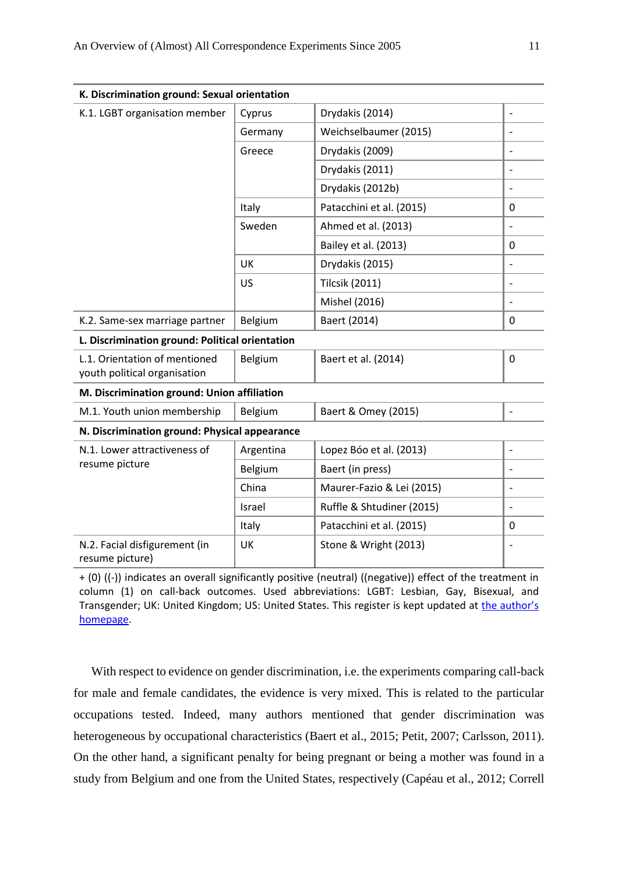| K. Discrimination ground: Sexual orientation                  |           |                           |                |
|---------------------------------------------------------------|-----------|---------------------------|----------------|
| K.1. LGBT organisation member                                 | Cyprus    | Drydakis (2014)           |                |
|                                                               | Germany   | Weichselbaumer (2015)     |                |
|                                                               | Greece    | Drydakis (2009)           | $\overline{a}$ |
|                                                               |           | Drydakis (2011)           |                |
|                                                               |           | Drydakis (2012b)          |                |
|                                                               | Italy     | Patacchini et al. (2015)  | 0              |
|                                                               | Sweden    | Ahmed et al. (2013)       |                |
|                                                               |           | Bailey et al. (2013)      | $\mathbf 0$    |
|                                                               | UK        | Drydakis (2015)           |                |
|                                                               | US        | <b>Tilcsik (2011)</b>     | $\overline{a}$ |
|                                                               |           | Mishel (2016)             | $\overline{a}$ |
| K.2. Same-sex marriage partner                                | Belgium   | Baert (2014)              | $\mathbf 0$    |
| L. Discrimination ground: Political orientation               |           |                           |                |
| L.1. Orientation of mentioned<br>youth political organisation | Belgium   | Baert et al. (2014)       | $\mathbf 0$    |
| M. Discrimination ground: Union affiliation                   |           |                           |                |
| M.1. Youth union membership                                   | Belgium   | Baert & Omey (2015)       |                |
| N. Discrimination ground: Physical appearance                 |           |                           |                |
| N.1. Lower attractiveness of<br>resume picture                | Argentina | Lopez Bóo et al. (2013)   |                |
|                                                               | Belgium   | Baert (in press)          |                |
|                                                               | China     | Maurer-Fazio & Lei (2015) | $\overline{a}$ |
|                                                               | Israel    | Ruffle & Shtudiner (2015) | $\overline{a}$ |
|                                                               | Italy     | Patacchini et al. (2015)  | 0              |
| N.2. Facial disfigurement (in<br>resume picture)              | UK        | Stone & Wright (2013)     |                |

+ (0) ((-)) indicates an overall significantly positive (neutral) ((negative)) effect of the treatment in column (1) on call-back outcomes. Used abbreviations: LGBT: Lesbian, Gay, Bisexual, and Transgender; UK: United Kingdom; US: United States. This register is kept updated at [the author's](http://users.ugent.be/~sbaert)  [homepage.](http://users.ugent.be/~sbaert)

With respect to evidence on gender discrimination, i.e. the experiments comparing call-back for male and female candidates, the evidence is very mixed. This is related to the particular occupations tested. Indeed, many authors mentioned that gender discrimination was heterogeneous by occupational characteristics (Baert et al., 2015; Petit, 2007; Carlsson, 2011). On the other hand, a significant penalty for being pregnant or being a mother was found in a study from Belgium and one from the United States, respectively (Capéau et al., 2012; Correll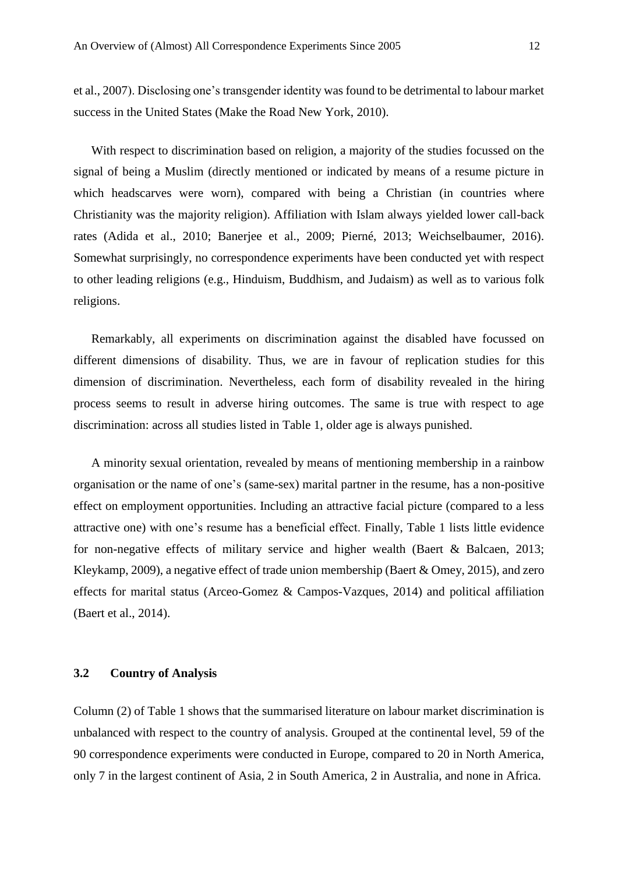et al., 2007). Disclosing one's transgender identity was found to be detrimental to labour market success in the United States (Make the Road New York, 2010).

With respect to discrimination based on religion, a majority of the studies focussed on the signal of being a Muslim (directly mentioned or indicated by means of a resume picture in which headscarves were worn), compared with being a Christian (in countries where Christianity was the majority religion). Affiliation with Islam always yielded lower call-back rates (Adida et al., 2010; Banerjee et al., 2009; Pierné, 2013; Weichselbaumer, 2016). Somewhat surprisingly, no correspondence experiments have been conducted yet with respect to other leading religions (e.g., Hinduism, Buddhism, and Judaism) as well as to various folk religions.

Remarkably, all experiments on discrimination against the disabled have focussed on different dimensions of disability. Thus, we are in favour of replication studies for this dimension of discrimination. Nevertheless, each form of disability revealed in the hiring process seems to result in adverse hiring outcomes. The same is true with respect to age discrimination: across all studies listed in Table 1, older age is always punished.

A minority sexual orientation, revealed by means of mentioning membership in a rainbow organisation or the name of one's (same-sex) marital partner in the resume, has a non-positive effect on employment opportunities. Including an attractive facial picture (compared to a less attractive one) with one's resume has a beneficial effect. Finally, Table 1 lists little evidence for non-negative effects of military service and higher wealth (Baert & Balcaen, 2013; Kleykamp, 2009), a negative effect of trade union membership (Baert & Omey, 2015), and zero effects for marital status (Arceo-Gomez & Campos-Vazques, 2014) and political affiliation (Baert et al., 2014).

#### **3.2 Country of Analysis**

Column (2) of Table 1 shows that the summarised literature on labour market discrimination is unbalanced with respect to the country of analysis. Grouped at the continental level, 59 of the 90 correspondence experiments were conducted in Europe, compared to 20 in North America, only 7 in the largest continent of Asia, 2 in South America, 2 in Australia, and none in Africa.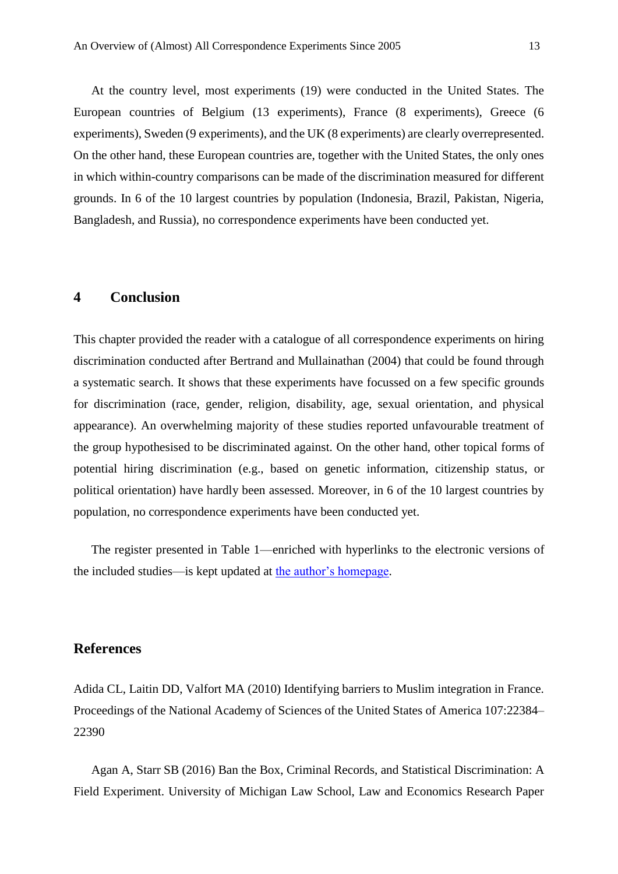At the country level, most experiments (19) were conducted in the United States. The European countries of Belgium (13 experiments), France (8 experiments), Greece (6 experiments), Sweden (9 experiments), and the UK (8 experiments) are clearly overrepresented. On the other hand, these European countries are, together with the United States, the only ones in which within-country comparisons can be made of the discrimination measured for different grounds. In 6 of the 10 largest countries by population (Indonesia, Brazil, Pakistan, Nigeria, Bangladesh, and Russia), no correspondence experiments have been conducted yet.

## **4 Conclusion**

This chapter provided the reader with a catalogue of all correspondence experiments on hiring discrimination conducted after Bertrand and Mullainathan (2004) that could be found through a systematic search. It shows that these experiments have focussed on a few specific grounds for discrimination (race, gender, religion, disability, age, sexual orientation, and physical appearance). An overwhelming majority of these studies reported unfavourable treatment of the group hypothesised to be discriminated against. On the other hand, other topical forms of potential hiring discrimination (e.g., based on genetic information, citizenship status, or political orientation) have hardly been assessed. Moreover, in 6 of the 10 largest countries by population, no correspondence experiments have been conducted yet.

The register presented in Table 1—enriched with hyperlinks to the electronic versions of the included studies—is kept updated at [the author's homepage.](http://users.ugent.be/~sbaert)

## **References**

Adida CL, Laitin DD, Valfort MA (2010) Identifying barriers to Muslim integration in France. Proceedings of the National Academy of Sciences of the United States of America 107:22384– 22390

Agan A, Starr SB (2016) Ban the Box, Criminal Records, and Statistical Discrimination: A Field Experiment. University of Michigan Law School, Law and Economics Research Paper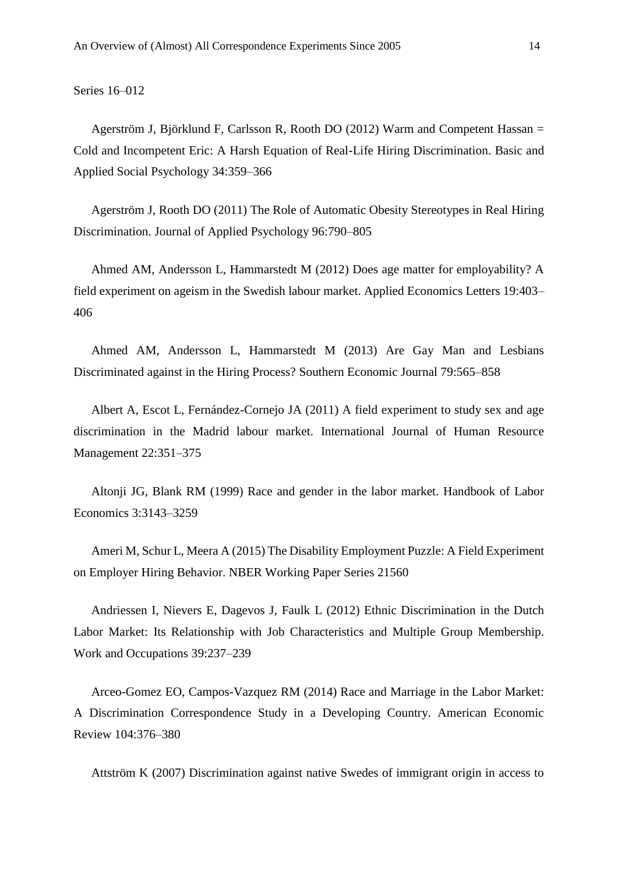Series 16–012

Agerström J, Björklund F, Carlsson R, Rooth DO (2012) Warm and Competent Hassan = Cold and Incompetent Eric: A Harsh Equation of Real-Life Hiring Discrimination. Basic and Applied Social Psychology 34:359–366

Agerström J, Rooth DO (2011) The Role of Automatic Obesity Stereotypes in Real Hiring Discrimination. Journal of Applied Psychology 96:790–805

Ahmed AM, Andersson L, Hammarstedt M (2012) Does age matter for employability? A field experiment on ageism in the Swedish labour market. Applied Economics Letters 19:403– 406

Ahmed AM, Andersson L, Hammarstedt M (2013) Are Gay Man and Lesbians Discriminated against in the Hiring Process? Southern Economic Journal 79:565–858

Albert A, Escot L, Fernández-Cornejo JA (2011) A field experiment to study sex and age discrimination in the Madrid labour market. International Journal of Human Resource Management 22:351–375

Altonji JG, Blank RM (1999) Race and gender in the labor market. Handbook of Labor Economics 3:3143–3259

Ameri M, Schur L, Meera A (2015) The Disability Employment Puzzle: A Field Experiment on Employer Hiring Behavior. NBER Working Paper Series 21560

Andriessen I, Nievers E, Dagevos J, Faulk L (2012) Ethnic Discrimination in the Dutch Labor Market: Its Relationship with Job Characteristics and Multiple Group Membership. Work and Occupations 39:237–239

Arceo-Gomez EO, Campos-Vazquez RM (2014) Race and Marriage in the Labor Market: A Discrimination Correspondence Study in a Developing Country. American Economic Review 104:376–380

Attström K (2007) Discrimination against native Swedes of immigrant origin in access to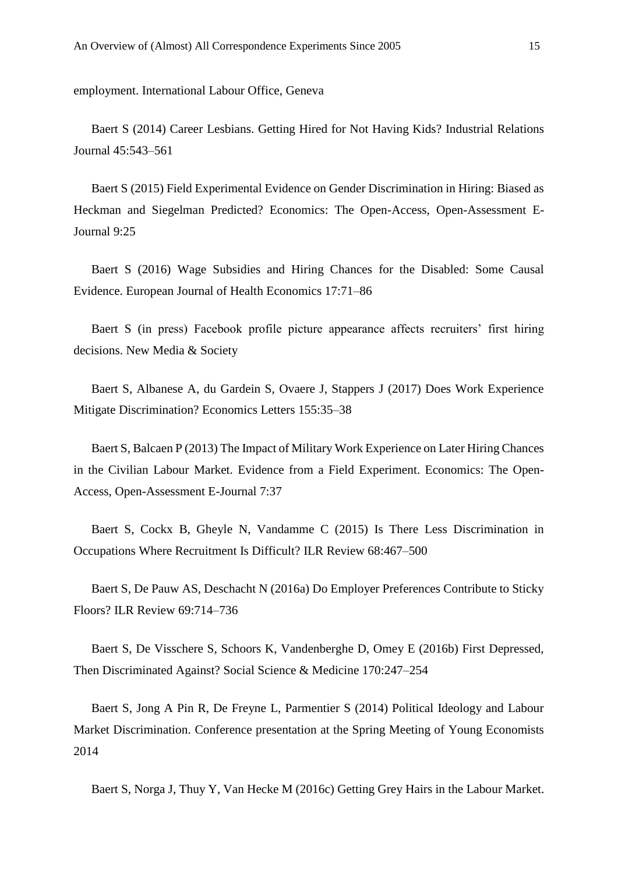employment. International Labour Office, Geneva

Baert S (2014) Career Lesbians. Getting Hired for Not Having Kids? Industrial Relations Journal 45:543–561

Baert S (2015) Field Experimental Evidence on Gender Discrimination in Hiring: Biased as Heckman and Siegelman Predicted? Economics: The Open-Access, Open-Assessment E-Journal 9:25

Baert S (2016) Wage Subsidies and Hiring Chances for the Disabled: Some Causal Evidence. European Journal of Health Economics 17:71–86

Baert S (in press) Facebook profile picture appearance affects recruiters' first hiring decisions. New Media & Society

Baert S, Albanese A, du Gardein S, Ovaere J, Stappers J (2017) Does Work Experience Mitigate Discrimination? Economics Letters 155:35–38

Baert S, Balcaen P (2013) The Impact of Military Work Experience on Later Hiring Chances in the Civilian Labour Market. Evidence from a Field Experiment. Economics: The Open-Access, Open-Assessment E-Journal 7:37

Baert S, Cockx B, Gheyle N, Vandamme C (2015) Is There Less Discrimination in Occupations Where Recruitment Is Difficult? ILR Review 68:467–500

Baert S, De Pauw AS, Deschacht N (2016a) Do Employer Preferences Contribute to Sticky Floors? ILR Review 69:714–736

Baert S, De Visschere S, Schoors K, Vandenberghe D, Omey E (2016b) First Depressed, Then Discriminated Against? Social Science & Medicine 170:247–254

Baert S, Jong A Pin R, De Freyne L, Parmentier S (2014) Political Ideology and Labour Market Discrimination. Conference presentation at the Spring Meeting of Young Economists 2014

Baert S, Norga J, Thuy Y, Van Hecke M (2016c) Getting Grey Hairs in the Labour Market.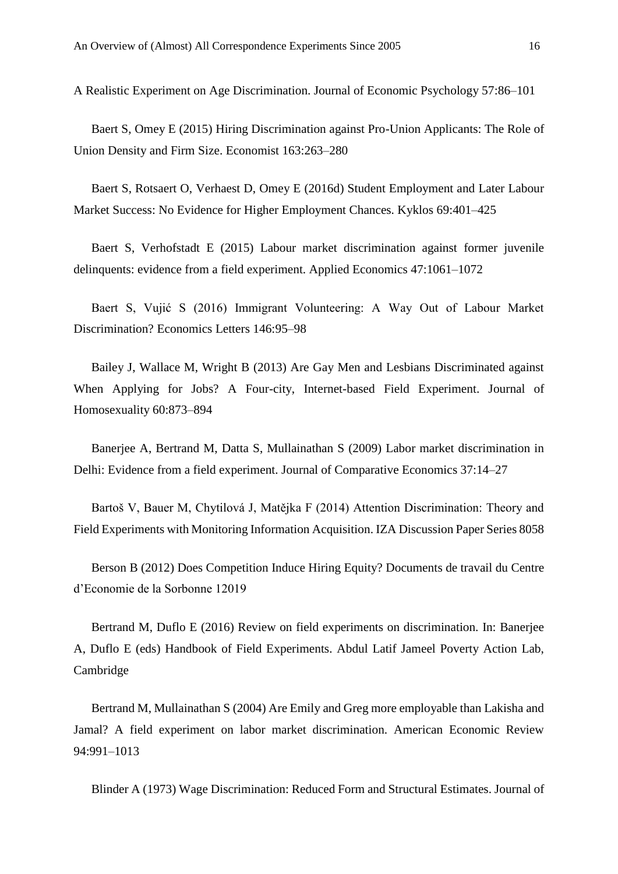A Realistic Experiment on Age Discrimination. Journal of Economic Psychology 57:86–101

Baert S, Omey E (2015) Hiring Discrimination against Pro-Union Applicants: The Role of Union Density and Firm Size. Economist 163:263–280

Baert S, Rotsaert O, Verhaest D, Omey E (2016d) Student Employment and Later Labour Market Success: No Evidence for Higher Employment Chances. Kyklos 69:401–425

Baert S, Verhofstadt E (2015) Labour market discrimination against former juvenile delinquents: evidence from a field experiment. Applied Economics 47:1061–1072

Baert S, Vujić S (2016) Immigrant Volunteering: A Way Out of Labour Market Discrimination? Economics Letters 146:95–98

Bailey J, Wallace M, Wright B (2013) Are Gay Men and Lesbians Discriminated against When Applying for Jobs? A Four-city, Internet-based Field Experiment. Journal of Homosexuality 60:873–894

Banerjee A, Bertrand M, Datta S, Mullainathan S (2009) Labor market discrimination in Delhi: Evidence from a field experiment. Journal of Comparative Economics 37:14–27

Bartoš V, Bauer M, Chytilová J, Matějka F (2014) Attention Discrimination: Theory and Field Experiments with Monitoring Information Acquisition. IZA Discussion Paper Series 8058

Berson B (2012) Does Competition Induce Hiring Equity? Documents de travail du Centre d'Economie de la Sorbonne 12019

Bertrand M, Duflo E (2016) Review on field experiments on discrimination. In: Banerjee A, Duflo E (eds) Handbook of Field Experiments. Abdul Latif Jameel Poverty Action Lab, Cambridge

Bertrand M, Mullainathan S (2004) Are Emily and Greg more employable than Lakisha and Jamal? A field experiment on labor market discrimination. American Economic Review 94:991–1013

Blinder A (1973) Wage Discrimination: Reduced Form and Structural Estimates. Journal of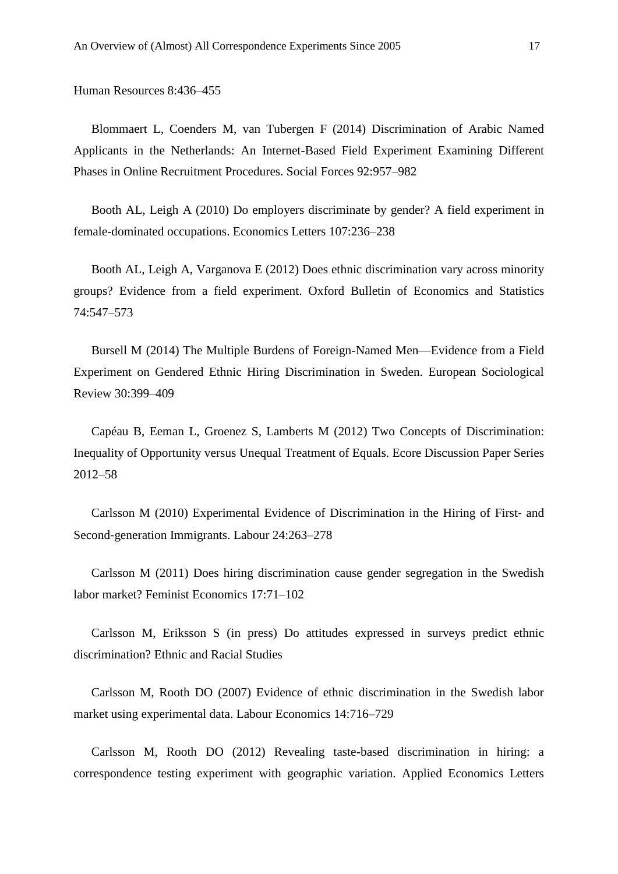Human Resources 8:436–455

Blommaert L, Coenders M, van Tubergen F (2014) Discrimination of Arabic Named Applicants in the Netherlands: An Internet-Based Field Experiment Examining Different Phases in Online Recruitment Procedures. Social Forces 92:957–982

Booth AL, Leigh A (2010) Do employers discriminate by gender? A field experiment in female-dominated occupations. Economics Letters 107:236–238

Booth AL, Leigh A, Varganova E (2012) Does ethnic discrimination vary across minority groups? Evidence from a field experiment. Oxford Bulletin of Economics and Statistics 74:547–573

Bursell M (2014) The Multiple Burdens of Foreign-Named Men—Evidence from a Field Experiment on Gendered Ethnic Hiring Discrimination in Sweden. European Sociological Review 30:399–409

Capéau B, Eeman L, Groenez S, Lamberts M (2012) Two Concepts of Discrimination: Inequality of Opportunity versus Unequal Treatment of Equals. Ecore Discussion Paper Series 2012–58

Carlsson M (2010) Experimental Evidence of Discrimination in the Hiring of First‐ and Second‐generation Immigrants. Labour 24:263–278

Carlsson M (2011) Does hiring discrimination cause gender segregation in the Swedish labor market? Feminist Economics 17:71–102

Carlsson M, Eriksson S (in press) Do attitudes expressed in surveys predict ethnic discrimination? Ethnic and Racial Studies

Carlsson M, Rooth DO (2007) Evidence of ethnic discrimination in the Swedish labor market using experimental data. Labour Economics 14:716–729

Carlsson M, Rooth DO (2012) Revealing taste-based discrimination in hiring: a correspondence testing experiment with geographic variation. Applied Economics Letters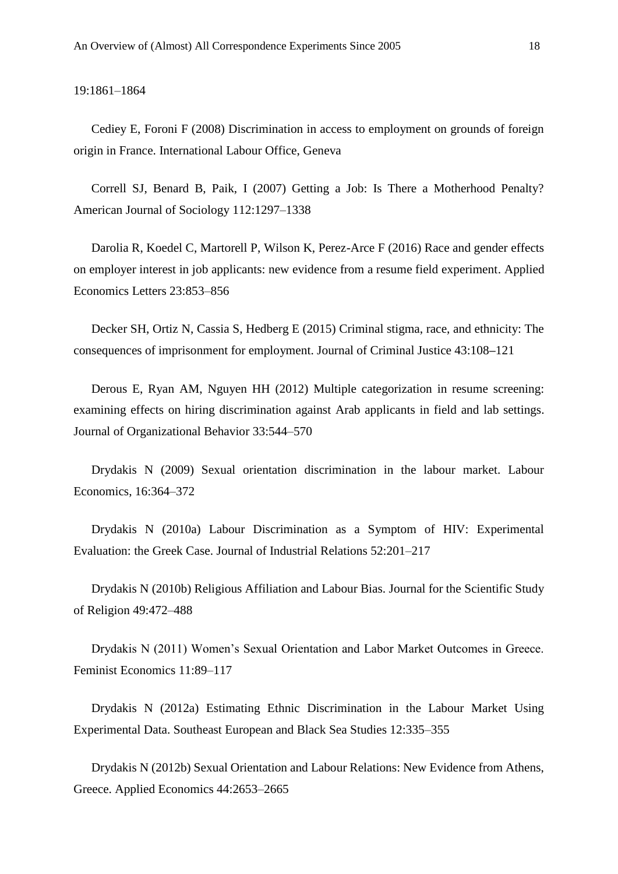19:1861–1864

Cediey E, Foroni F (2008) Discrimination in access to employment on grounds of foreign origin in France. International Labour Office, Geneva

Correll SJ, Benard B, Paik, I (2007) Getting a Job: Is There a Motherhood Penalty? American Journal of Sociology 112:1297–1338

Darolia R, Koedel C, Martorell P, Wilson K, Perez-Arce F (2016) [Race and gender effects](https://apps.webofknowledge.com/full_record.do?product=WOS&search_mode=CitingArticles&qid=37&SID=Q22ZPQvK9buSw9TpCNi&page=11&doc=507)  [on employer interest in job applicants: new evidence from a resume field experiment.](https://apps.webofknowledge.com/full_record.do?product=WOS&search_mode=CitingArticles&qid=37&SID=Q22ZPQvK9buSw9TpCNi&page=11&doc=507) Applied Economics Letters 23:853–856

Decker SH, Ortiz N, Cassia S, Hedberg E (2015) Criminal stigma, race, and ethnicity: The consequences of imprisonment for employment. Journal of Criminal Justice 43:108**–**121

Derous E, Ryan AM, Nguyen HH (2012) Multiple [categorization](https://biblio.ugent.be/publication/1870100) in resume screening: examining effects on hiring [discrimination](https://biblio.ugent.be/publication/1870100) against Arab applicants in field and lab settings. Journal of Organizational Behavior 33:544–570

Drydakis N (2009) Sexual orientation discrimination in the labour market. Labour Economics, 16:364–372

Drydakis N (2010a) Labour Discrimination as a Symptom of HIV: Experimental Evaluation: the Greek Case. Journal of Industrial Relations 52:201–217

Drydakis N (2010b) Religious Affiliation and Labour Bias. Journal for the Scientific Study of Religion 49:472–488

Drydakis N (2011) Women's Sexual Orientation and Labor Market Outcomes in Greece. Feminist Economics 11:89–117

Drydakis N (2012a) Estimating Ethnic Discrimination in the Labour Market Using Experimental Data. Southeast European and Black Sea Studies 12:335–355

Drydakis N (2012b) Sexual Orientation and Labour Relations: New Evidence from Athens, Greece. Applied Economics 44:2653–2665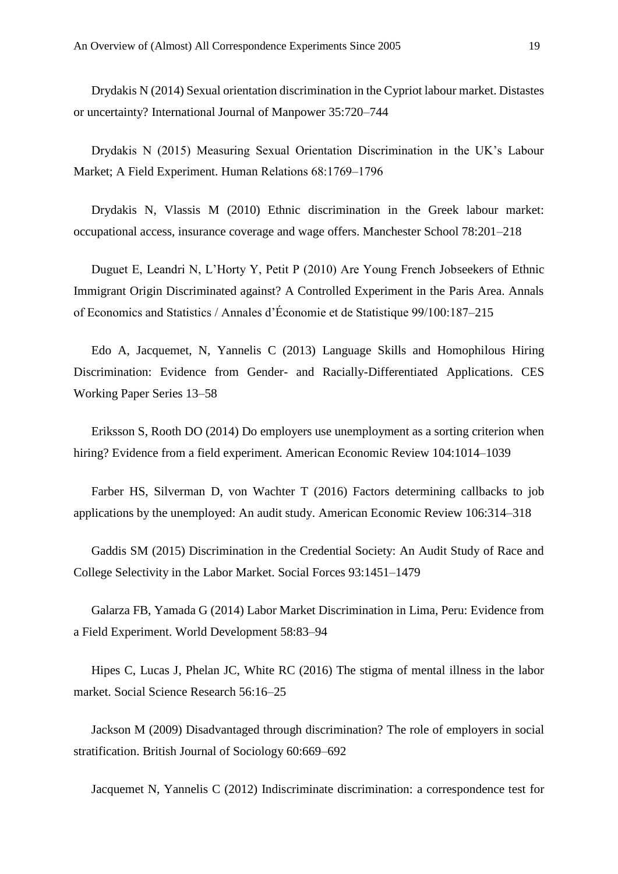Drydakis N (2014) Sexual orientation discrimination in the Cypriot labour market. Distastes or uncertainty? International Journal of Manpower 35:720–744

Drydakis N (2015) Measuring Sexual Orientation Discrimination in the UK's Labour Market; A Field Experiment. Human Relations 68:1769–1796

Drydakis N, Vlassis M (2010) Ethnic discrimination in the Greek labour market: occupational access, insurance coverage and wage offers. Manchester School 78:201–218

Duguet E, Leandri N, L'Horty Y, Petit P (2010) Are Young French Jobseekers of Ethnic Immigrant Origin Discriminated against? A Controlled Experiment in the Paris Area. Annals of Economics and Statistics / Annales d'Économie et de Statistique 99/100:187–215

Edo A, Jacquemet, N, Yannelis C (2013) Language Skills and Homophilous Hiring Discrimination: Evidence from Gender- and Racially-Differentiated Applications. CES Working Paper Series 13–58

Eriksson S, Rooth DO (2014) Do employers use unemployment as a sorting criterion when hiring? Evidence from a field experiment. American Economic Review 104:1014–1039

Farber HS, Silverman D, von Wachter T (2016) Factors determining callbacks to job applications by the unemployed: An audit study. American Economic Review 106:314–318

Gaddis SM (2015) Discrimination in the Credential Society: An Audit Study of Race and College Selectivity in the Labor Market. Social Forces 93:1451–1479

Galarza FB, Yamada G (2014) Labor Market Discrimination in Lima, Peru: Evidence from a Field Experiment. World Development 58:83–94

Hipes C, Lucas J, Phelan JC, White RC (2016) The stigma of mental illness in the labor market. Social Science Research 56:16–25

Jackson M (2009) [Disadvantaged through discrimination? The role of employers in social](https://apps.webofknowledge.com/full_record.do?product=WOS&search_mode=CitingArticles&qid=37&SID=Q22ZPQvK9buSw9TpCNi&page=4&doc=193)  [stratification.](https://apps.webofknowledge.com/full_record.do?product=WOS&search_mode=CitingArticles&qid=37&SID=Q22ZPQvK9buSw9TpCNi&page=4&doc=193) British Journal of Sociology 60:669–692

Jacquemet N, Yannelis C (2012) Indiscriminate discrimination: a correspondence test for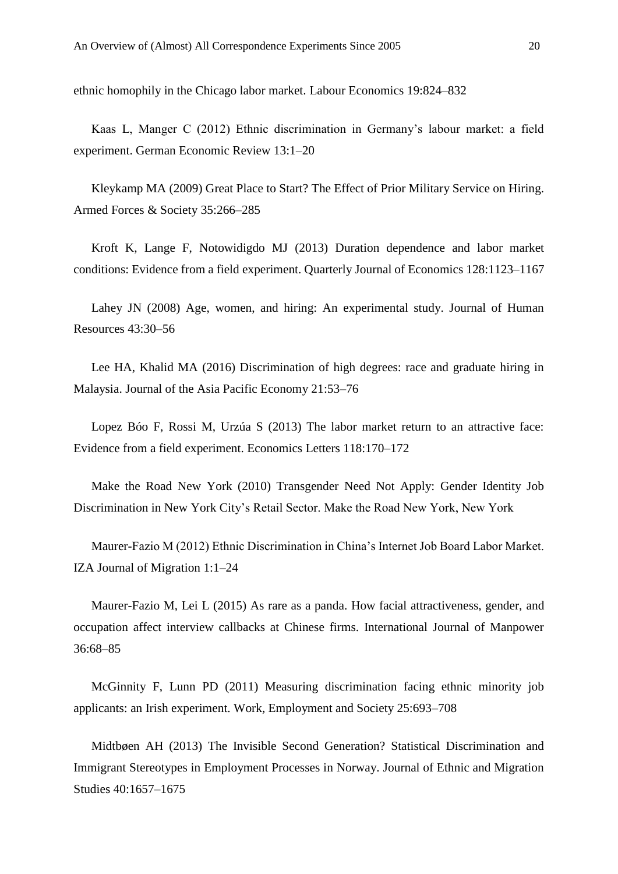ethnic homophily in the Chicago labor market. Labour Economics 19:824–832

Kaas L, Manger C (2012) Ethnic discrimination in Germany's labour market: a field experiment. German Economic Review 13:1–20

Kleykamp MA (2009) Great Place to Start? The Effect of Prior Military Service on Hiring. Armed Forces & Society 35:266–285

Kroft K, Lange F, Notowidigdo MJ (2013) Duration dependence and labor market conditions: Evidence from a field experiment. Quarterly Journal of Economics 128:1123–1167

Lahey JN (2008) Age, women, and hiring: An experimental study. Journal of Human Resources 43:30–56

Lee HA, Khalid MA (2016) Discrimination of high degrees: race and graduate hiring in Malaysia. Journal of the Asia Pacific Economy 21:53–76

Lopez Bóo F, Rossi M, Urzúa S (2013) The labor market return to an attractive face: Evidence from a field experiment. Economics Letters 118:170–172

Make the Road New York (2010) Transgender Need Not Apply: Gender Identity Job Discrimination in New York City's Retail Sector. Make the Road New York, New York

Maurer-Fazio M (2012) Ethnic Discrimination in China's Internet Job Board Labor Market. IZA Journal of Migration 1:1–24

Maurer-Fazio M, Lei L (2015) As rare as a panda. How facial attractiveness, gender, and occupation affect interview callbacks at Chinese firms. International Journal of Manpower 36:68–85

McGinnity F, Lunn PD (2011) Measuring discrimination facing ethnic minority job applicants: an Irish experiment. Work, Employment and Society 25:693–708

Midtbøen AH (2013) The Invisible Second Generation? Statistical Discrimination and Immigrant Stereotypes in Employment Processes in Norway. Journal of Ethnic and Migration Studies 40:1657–1675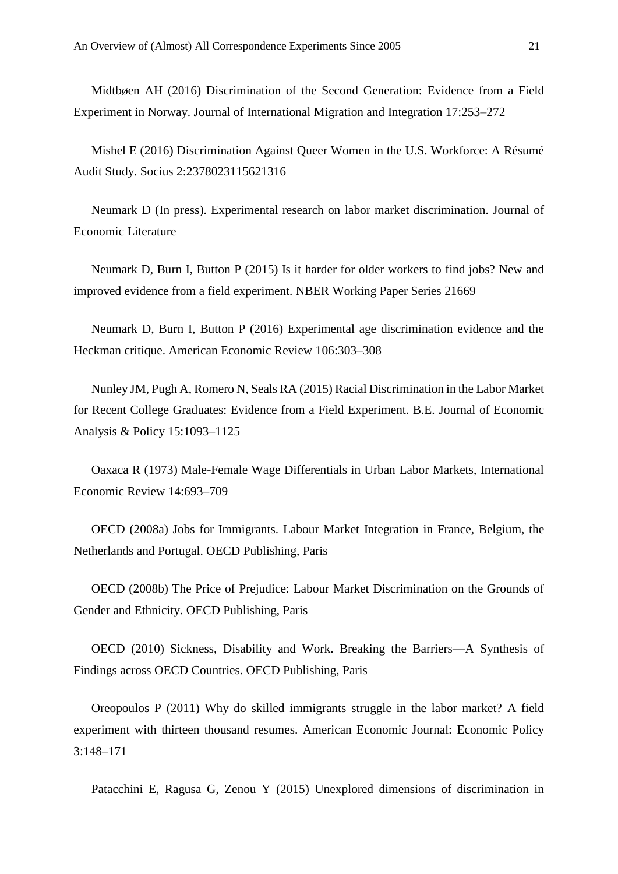Midtbøen AH (2016) Discrimination of the Second Generation: Evidence from a Field Experiment in Norway. Journal of International Migration and Integration 17:253–272

Mishel E (2016) Discrimination Against Queer Women in the U.S. Workforce: A Résumé Audit Study. Socius 2:2378023115621316

Neumark D (In press). Experimental research on labor market discrimination. Journal of Economic Literature

Neumark D, Burn I, Button P (2015) Is it harder for older workers to find jobs? New and improved evidence from a field experiment. NBER Working Paper Series 21669

Neumark D, Burn I, Button P (2016) Experimental age discrimination evidence and the Heckman critique. American Economic Review 106:303–308

Nunley JM, Pugh A, Romero N, Seals RA (2015) Racial Discrimination in the Labor Market for Recent College Graduates: Evidence from a Field Experiment. B.E. Journal of Economic Analysis & Policy 15:1093–1125

Oaxaca R (1973) Male-Female Wage Differentials in Urban Labor Markets, International Economic Review 14:693–709

OECD (2008a) Jobs for Immigrants. Labour Market Integration in France, Belgium, the Netherlands and Portugal. OECD Publishing, Paris

OECD (2008b) The Price of Prejudice: Labour Market Discrimination on the Grounds of Gender and Ethnicity. OECD Publishing, Paris

OECD (2010) Sickness, Disability and Work. Breaking the Barriers—A Synthesis of Findings across OECD Countries. OECD Publishing, Paris

Oreopoulos P (2011) Why do skilled immigrants struggle in the labor market? A field experiment with thirteen thousand resumes. American Economic Journal: Economic Policy 3:148–171

Patacchini E, Ragusa G, Zenou Y (2015) Unexplored dimensions of discrimination in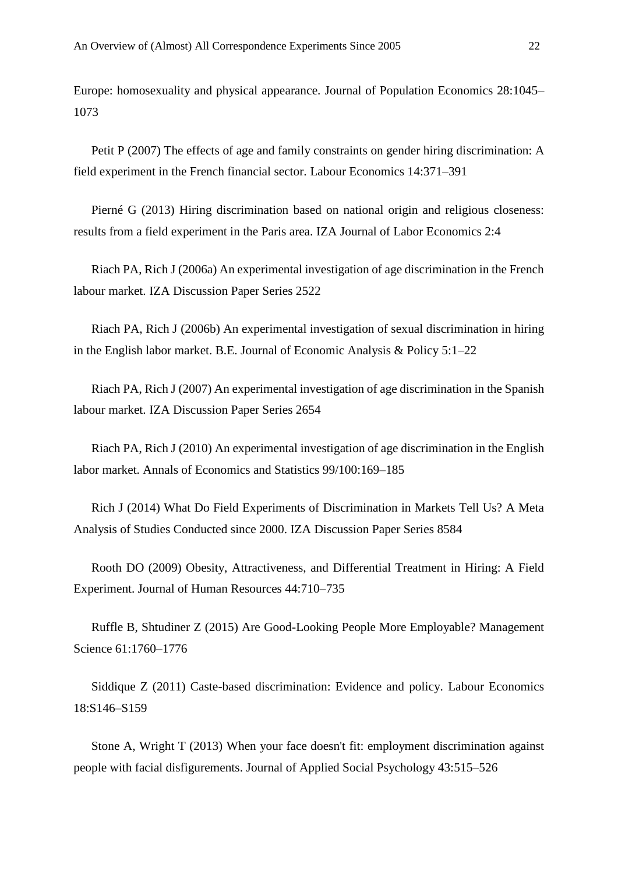Europe: homosexuality and physical appearance. Journal of Population Economics 28:1045– 1073

Petit P (2007) The effects of age and family constraints on gender hiring discrimination: A field experiment in the French financial sector. Labour Economics 14:371–391

Pierné G (2013) Hiring discrimination based on national origin and religious closeness: results from a field experiment in the Paris area. IZA Journal of Labor Economics 2:4

Riach PA, Rich J (2006a) An experimental investigation of age discrimination in the French labour market. IZA Discussion Paper Series 2522

Riach PA, Rich J (2006b) An experimental investigation of sexual discrimination in hiring in the English labor market. B.E. Journal of Economic Analysis & Policy 5:1–22

Riach PA, Rich J (2007) An experimental investigation of age discrimination in the Spanish labour market. IZA Discussion Paper Series 2654

Riach PA, Rich J (2010) An experimental investigation of age discrimination in the English labor market. Annals of Economics and Statistics 99/100:169–185

Rich J (2014) What Do Field Experiments of Discrimination in Markets Tell Us? A Meta Analysis of Studies Conducted since 2000. IZA Discussion Paper Series 8584

Rooth DO (2009) Obesity, Attractiveness, and Differential Treatment in Hiring: A Field Experiment. Journal of Human Resources 44:710–735

Ruffle B, Shtudiner Z (2015) Are Good-Looking People More Employable? Management Science 61:1760–1776

Siddique Z (2011) Caste-based discrimination: Evidence and policy. Labour Economics 18:S146–S159

Stone A, Wright T (2013) [When your face doesn't fit: employment discrimination against](https://apps.webofknowledge.com/full_record.do?product=WOS&search_mode=CitingArticles&qid=37&SID=Q22ZPQvK9buSw9TpCNi&page=9&doc=404)  [people with facial disfigurements.](https://apps.webofknowledge.com/full_record.do?product=WOS&search_mode=CitingArticles&qid=37&SID=Q22ZPQvK9buSw9TpCNi&page=9&doc=404) Journal of Applied Social Psychology 43:515–526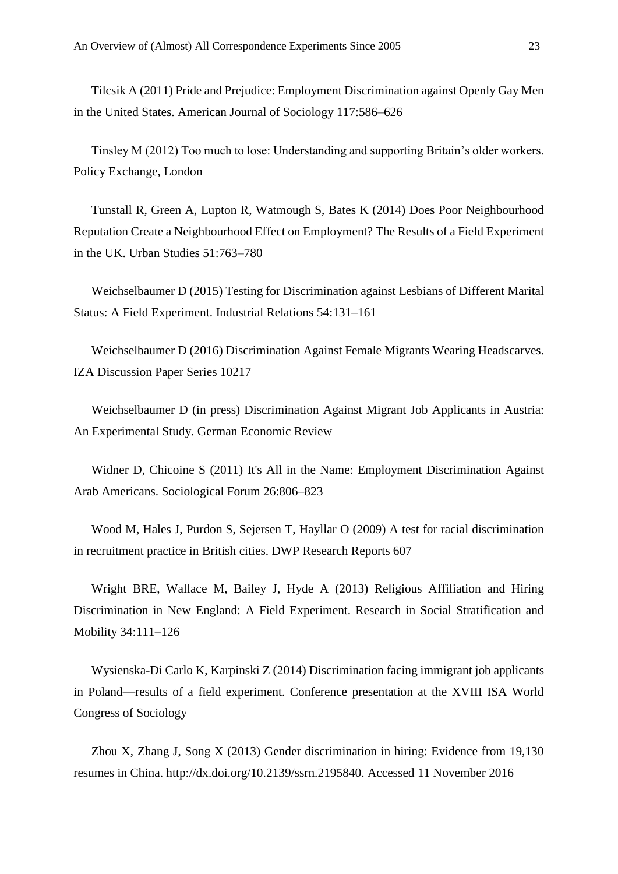Tilcsik A (2011) Pride and Prejudice: Employment Discrimination against Openly Gay Men in the United States. American Journal of Sociology 117:586–626

Tinsley M (2012) Too much to lose: Understanding and supporting Britain's older workers. Policy Exchange, London

Tunstall R, Green A, Lupton R, Watmough S, Bates K (2014) Does Poor Neighbourhood Reputation Create a Neighbourhood Effect on Employment? The Results of a Field Experiment in the UK. Urban Studies 51:763–780

Weichselbaumer D (2015) Testing for Discrimination against Lesbians of Different Marital Status: A Field Experiment. Industrial Relations 54:131–161

Weichselbaumer D (2016) Discrimination Against Female Migrants Wearing Headscarves. IZA Discussion Paper Series 10217

Weichselbaumer D (in press) Discrimination Against Migrant Job Applicants in Austria: An Experimental Study. German Economic Review

Widner D, Chicoine S (2011) It's All in the Name: Employment Discrimination Against Arab Americans. Sociological Forum 26:806–823

Wood M, Hales J, Purdon S, Sejersen T, Hayllar O (2009) A test for racial discrimination in recruitment practice in British cities. DWP Research Reports 607

Wright BRE, Wallace M, Bailey J, Hyde A (2013) Religious Affiliation and Hiring Discrimination in New England: A Field Experiment. Research in Social Stratification and Mobility 34:111–126

Wysienska-Di Carlo K, Karpinski Z (2014) Discrimination facing immigrant job applicants in Poland—results of a field experiment. Conference presentation at the XVIII ISA World Congress of Sociology

Zhou X, Zhang J, Song X (2013) Gender discrimination in hiring: Evidence from 19,130 resumes in China. http://dx.doi.org/10.2139/ssrn.2195840. Accessed 11 November 2016